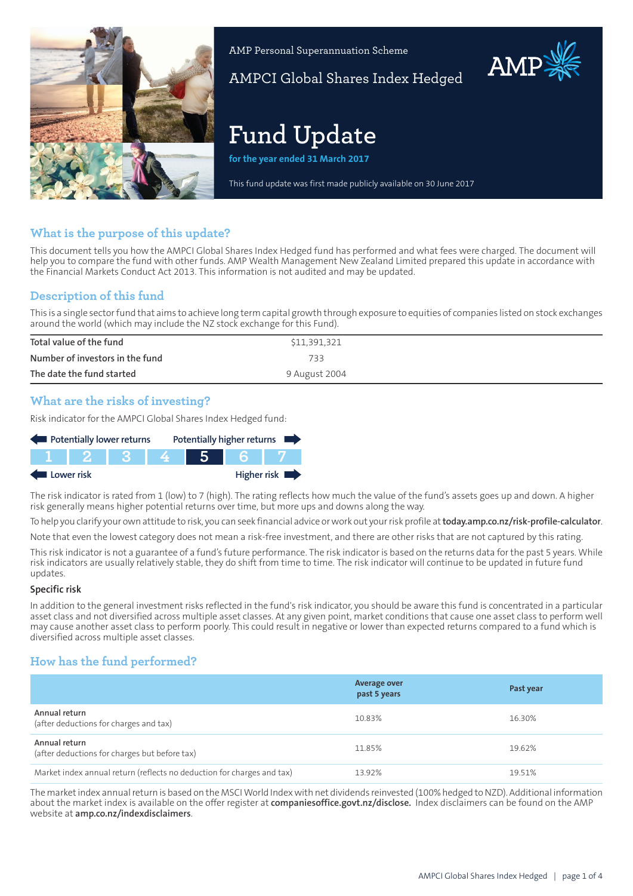

AMP Personal Superannuation Scheme

AMPCI Global Shares Index Hedged

# **Fund Update**

**for the year ended 31 March 2017**

This fund update was first made publicly available on 30 June 2017

## **What is the purpose of this update?**

This document tells you how the AMPCI Global Shares Index Hedged fund has performed and what fees were charged. The document will help you to compare the fund with other funds. AMP Wealth Management New Zealand Limited prepared this update in accordance with the Financial Markets Conduct Act 2013. This information is not audited and may be updated.

## **Description of this fund**

This is a single sectorfund that aims to achieve long term capital growth through exposure to equities of companies listed on stock exchanges around the world (which may include the NZ stock exchange for this Fund).

| Total value of the fund         | \$11,391,321  |
|---------------------------------|---------------|
| Number of investors in the fund | 733           |
| The date the fund started       | 9 August 2004 |

## **What are the risks of investing?**

Risk indicator for the AMPCI Global Shares Index Hedged fund:

| Potentially lower returns                |  |  |  |  |  | Potentially higher returns |
|------------------------------------------|--|--|--|--|--|----------------------------|
|                                          |  |  |  |  |  |                            |
| Higher risk $\blacksquare$<br>Lower risk |  |  |  |  |  |                            |

The risk indicator is rated from 1 (low) to 7 (high). The rating reflects how much the value of the fund's assets goes up and down. A higher risk generally means higher potential returns over time, but more ups and downs along the way.

To help you clarify your own attitude to risk, you can seek financial advice orwork out yourrisk profile at**[today.amp.co.nz/risk-profile-calculator](http://today.amp.co.nz/risk-profile-calculator)**. Note that even the lowest category does not mean a risk-free investment, and there are other risks that are not captured by this rating.

This risk indicator is not a guarantee of a fund's future performance. The risk indicator is based on the returns data for the past 5 years. While risk indicators are usually relatively stable, they do shift from time to time. The risk indicator will continue to be updated in future fund updates.

#### **Specific risk**

In addition to the general investment risks reflected in the fund's risk indicator, you should be aware this fund is concentrated in a particular asset class and not diversified across multiple asset classes. At any given point, market conditions that cause one asset class to perform well may cause another asset class to perform poorly. This could result in negative or lower than expected returns compared to a fund which is diversified across multiple asset classes.

## **How has the fund performed?**

|                                                                        | Average over<br>past 5 years | Past year |
|------------------------------------------------------------------------|------------------------------|-----------|
| Annual return<br>(after deductions for charges and tax)                | 10.83%                       | 16.30%    |
| Annual return<br>(after deductions for charges but before tax)         | 11.85%                       | 19.62%    |
| Market index annual return (reflects no deduction for charges and tax) | 13.92%                       | 19.51%    |

The marketindex annualreturn is based on the MSCIWorld Indexwith net dividends reinvested (100% hedged to NZD). Additional information about the market index is available on the offer register at **[companiesoffice.govt.nz/disclose.](http://companiesoffice.govt.nz/disclose)** Index disclaimers can be found on the AMP website at **[amp.co.nz/indexdisclaimers](http://amp.co.nz/indexdisclaimers)**.

**AMP**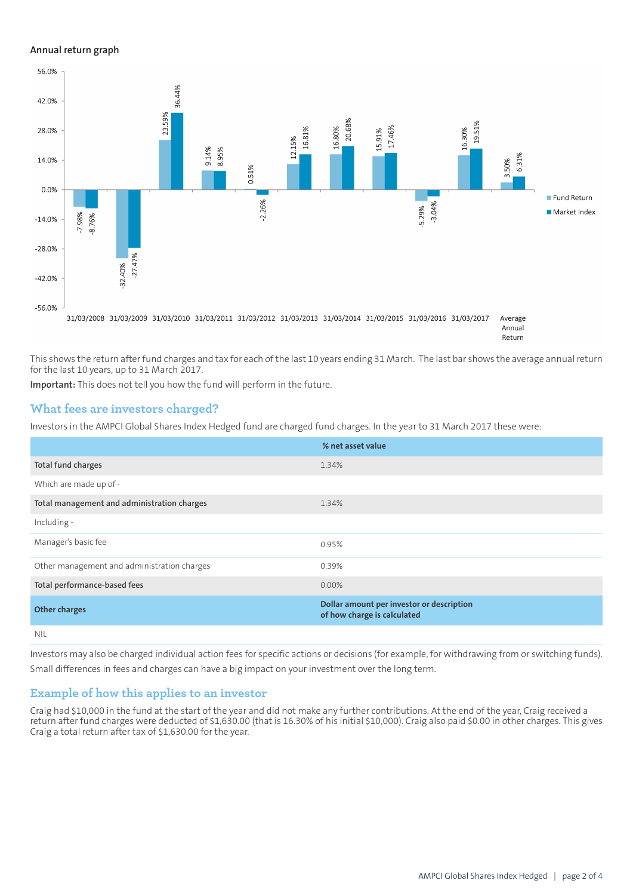#### **Annual return graph**



This shows the return after fund charges and tax for each of the last 10 years ending 31 March. The last bar shows the average annual return for the last 10 years, up to 31 March 2017.

**Important:** This does not tell you how the fund will perform in the future.

#### **What fees are investors charged?**

Investors in the AMPCI Global Shares Index Hedged fund are charged fund charges. In the year to 31 March 2017 these were:

|                                             | % net asset value                                                        |
|---------------------------------------------|--------------------------------------------------------------------------|
| Total fund charges                          | 1.34%                                                                    |
| Which are made up of -                      |                                                                          |
| Total management and administration charges | 1.34%                                                                    |
| Including -                                 |                                                                          |
| Manager's basic fee                         | 0.95%                                                                    |
| Other management and administration charges | 0.39%                                                                    |
| Total performance-based fees                | 0.00%                                                                    |
| <b>Other charges</b>                        | Dollar amount per investor or description<br>of how charge is calculated |
| <b>NIL</b>                                  |                                                                          |

Investors may also be charged individual action fees for specific actions or decisions (for example, for withdrawing from or switching funds). Small differences in fees and charges can have a big impact on your investment over the long term.

#### **Example of how this applies to an investor**

Craig had \$10,000 in the fund at the start of the year and did not make any further contributions. At the end of the year, Craig received a return after fund charges were deducted of \$1,630.00 (that is 16.30% of his initial \$10,000). Craig also paid \$0.00 in other charges. This gives Craig a total return after tax of \$1,630.00 for the year.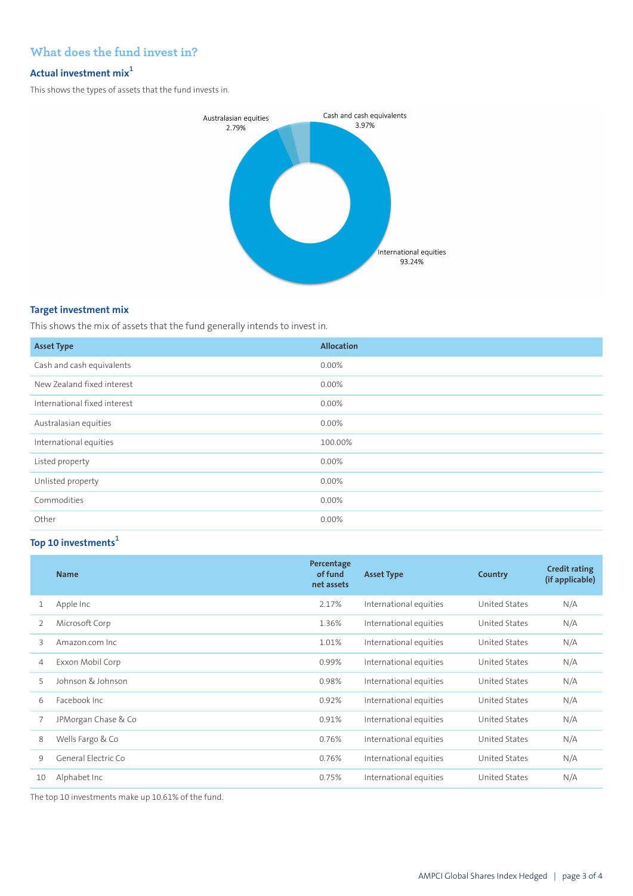## **What does the fund invest in?**

## **Actual investment mix<sup>1</sup>**

This shows the types of assets that the fund invests in.



### **Target investment mix**

This shows the mix of assets that the fund generally intends to invest in.

| <b>Asset Type</b>            | <b>Allocation</b> |
|------------------------------|-------------------|
| Cash and cash equivalents    | 0.00%             |
| New Zealand fixed interest   | $0.00\%$          |
| International fixed interest | 0.00%             |
| Australasian equities        | 0.00%             |
| International equities       | 100.00%           |
| Listed property              | $0.00\%$          |
| Unlisted property            | 0.00%             |
| Commodities                  | 0.00%             |
| Other                        | $0.00\%$          |

## **Top 10 investments<sup>1</sup>**

|    | <b>Name</b>         | Percentage<br>of fund<br>net assets | <b>Asset Type</b>      | Country              | <b>Credit rating</b><br>(if applicable) |
|----|---------------------|-------------------------------------|------------------------|----------------------|-----------------------------------------|
|    | Apple Inc           | 2.17%                               | International equities | <b>United States</b> | N/A                                     |
| 2  | Microsoft Corp      | 1.36%                               | International equities | United States        | N/A                                     |
| 3  | Amazon.com Inc.     | 1.01%                               | International equities | United States        | N/A                                     |
| 4  | Exxon Mobil Corp    | 0.99%                               | International equities | United States        | N/A                                     |
| 5  | Johnson & Johnson   | 0.98%                               | International equities | <b>United States</b> | N/A                                     |
| 6  | Facebook Inc.       | 0.92%                               | International equities | <b>United States</b> | N/A                                     |
| 7  | JPMorgan Chase & Co | 0.91%                               | International equities | United States        | N/A                                     |
| 8  | Wells Fargo & Co    | 0.76%                               | International equities | United States        | N/A                                     |
| 9  | General Electric Co | 0.76%                               | International equities | United States        | N/A                                     |
| 10 | Alphabet Inc        | 0.75%                               | International equities | United States        | N/A                                     |

The top 10 investments make up 10.61% of the fund.